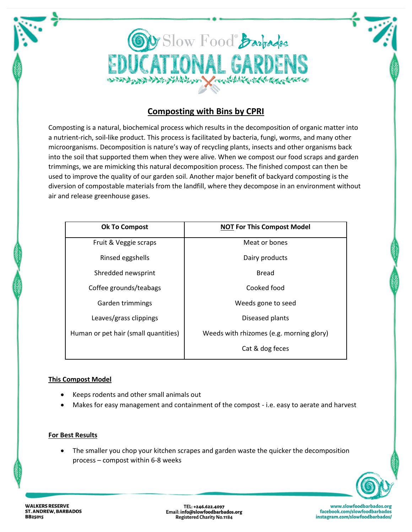

## **Composting with Bins by CPRI**

Composting is a natural, biochemical process which results in the decomposition of organic matter into a nutrient-rich, soil-like product. This process is facilitated by bacteria, fungi, worms, and many other microorganisms. Decomposition is nature's way of recycling plants, insects and other organisms back into the soil that supported them when they were alive. When we compost our food scraps and garden trimmings, we are mimicking this natural decomposition process. The finished compost can then be used to improve the quality of our garden soil. Another major benefit of backyard composting is the diversion of compostable materials from the landfill, where they decompose in an environment without air and release greenhouse gases.

| <b>Ok To Compost</b>                 | <b>NOT For This Compost Model</b>        |
|--------------------------------------|------------------------------------------|
| Fruit & Veggie scraps                | Meat or bones                            |
| Rinsed eggshells                     | Dairy products                           |
| Shredded newsprint                   | <b>Bread</b>                             |
| Coffee grounds/teabags               | Cooked food                              |
| Garden trimmings                     | Weeds gone to seed                       |
| Leaves/grass clippings               | Diseased plants                          |
| Human or pet hair (small quantities) | Weeds with rhizomes (e.g. morning glory) |
|                                      | Cat & dog feces                          |

## **This Compost Model**

- Keeps rodents and other small animals out
- Makes for easy management and containment of the compost i.e. easy to aerate and harvest

## **For Best Results**

• The smaller you chop your kitchen scrapes and garden waste the quicker the decomposition process – compost within 6-8 weeks



**WALKERS RESERVE ST. ANDREW, BARBADOS BB25015** 

TEL: +246.622.4097 Email: info@slowfoodbarbados.org **Registered Charity No.1184** 

www.slowfoodbarbados.org facebook.com/slowfoodbarbados instagram.com/slowfoodbarbados/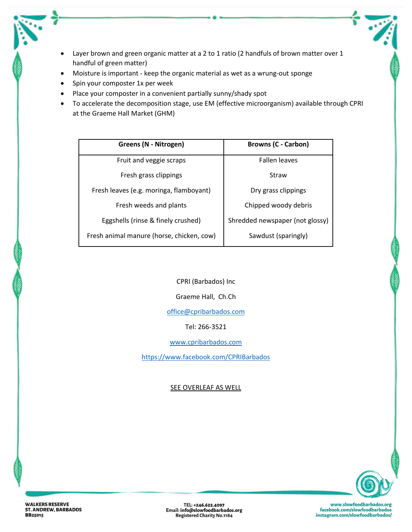- Layer brown and green organic matter at a 2 to 1 ratio (2 handfuls of brown matter over 1 handful of green matter)
- Moisture is important keep the organic material as wet as a wrung-out sponge
- Spin your composter 1x per week
- Place your composter in a convenient partially sunny/shady spot
- To accelerate the decomposition stage, use EM (effective microorganism) available through CPRI at the Graeme Hall Market (GHM)

| Greens (N - Nitrogen)                     | <b>Browns (C - Carbon)</b>      |
|-------------------------------------------|---------------------------------|
| Fruit and veggie scraps                   | <b>Fallen leaves</b>            |
| Fresh grass clippings                     | Straw                           |
| Fresh leaves (e.g. moringa, flamboyant)   | Dry grass clippings             |
| Fresh weeds and plants                    | Chipped woody debris            |
| Eggshells (rinse & finely crushed)        | Shredded newspaper (not glossy) |
| Fresh animal manure (horse, chicken, cow) | Sawdust (sparingly)             |

CPRI (Barbados) Inc

Graeme Hall, Ch.Ch

[office@cpribarbados.com](mailto:office@cpribarbados.com)

Tel: 266-3521

[www.cpribarbados.com](http://www.cpribarbados.com/)

<https://www.facebook.com/CPRIBarbados>

SEE OVERLEAF AS WELL



 $\zeta$ 

TEL: +246.622.4097 Email: info@slowfoodbarbados.org<br>Registered Charity No.1184

www.slowfoodbarbados.org facebook.com/slowfoodbarbados instagram.com/slowfoodbarbados/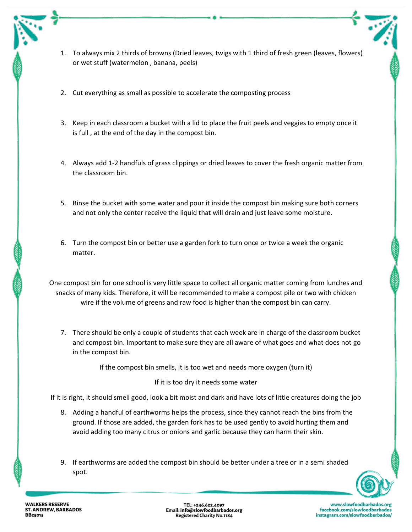- 1. To always mix 2 thirds of browns (Dried leaves, twigs with 1 third of fresh green (leaves, flowers) or wet stuff (watermelon , banana, peels)
- 2. Cut everything as small as possible to accelerate the composting process
- 3. Keep in each classroom a bucket with a lid to place the fruit peels and veggies to empty once it is full , at the end of the day in the compost bin.
- 4. Always add 1-2 handfuls of grass clippings or dried leaves to cover the fresh organic matter from the classroom bin.
- 5. Rinse the bucket with some water and pour it inside the compost bin making sure both corners and not only the center receive the liquid that will drain and just leave some moisture.
- 6. Turn the compost bin or better use a garden fork to turn once or twice a week the organic matter.

One compost bin for one school is very little space to collect all organic matter coming from lunches and snacks of many kids. Therefore, it will be recommended to make a compost pile or two with chicken wire if the volume of greens and raw food is higher than the compost bin can carry.

7. There should be only a couple of students that each week are in charge of the classroom bucket and compost bin. Important to make sure they are all aware of what goes and what does not go in the compost bin.

If the compost bin smells, it is too wet and needs more oxygen (turn it)

## If it is too dry it needs some water

If it is right, it should smell good, look a bit moist and dark and have lots of little creatures doing the job

- 8. Adding a handful of earthworms helps the process, since they cannot reach the bins from the ground. If those are added, the garden fork has to be used gently to avoid hurting them and avoid adding too many citrus or onions and garlic because they can harm their skin.
- 9. If earthworms are added the compost bin should be better under a tree or in a semi shaded spot.

TEL: +246.622.4097 Email: info@slowfoodbarbados.org **Registered Charity No.1184**